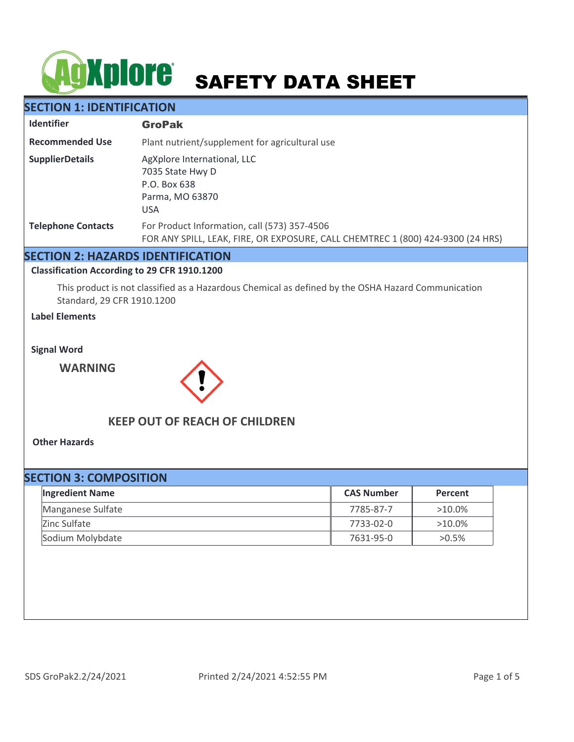# **SAFETY DATA SHEET**

## **SECTION 1: IDENTIFICATION**

| <b>Identifier</b>         | <b>GroPak</b>                                                                                                                   |
|---------------------------|---------------------------------------------------------------------------------------------------------------------------------|
| <b>Recommended Use</b>    | Plant nutrient/supplement for agricultural use                                                                                  |
| <b>SupplierDetails</b>    | AgXplore International, LLC<br>7035 State Hwy D<br>P.O. Box 638<br>Parma, MO 63870<br><b>USA</b>                                |
| <b>Telephone Contacts</b> | For Product Information, call (573) 357-4506<br>FOR ANY SPILL, LEAK, FIRE, OR EXPOSURE, CALL CHEMTREC 1 (800) 424-9300 (24 HRS) |

## **SECTION 2: HAZARDS IDENTIFICATION**

#### **Classification According to 29 CFR 1910.1200**

This product is not classified as a Hazardous Chemical as defined by the OSHA Hazard Communication Standard, 29 CFR 1910.1200

### **Label Elements**

**Signal Word**

**WARNING**



## **KEEP OUT OF REACH OF CHILDREN**

**Other Hazards**

| <b>SECTION 3: COMPOSITION</b> |                   |           |  |  |
|-------------------------------|-------------------|-----------|--|--|
| <b>Ingredient Name</b>        | <b>CAS Number</b> | Percent   |  |  |
| Manganese Sulfate             | 7785-87-7         | $>10.0\%$ |  |  |
| Zinc Sulfate                  | 7733-02-0         | $>10.0\%$ |  |  |
| Sodium Molybdate              | 7631-95-0         | $>0.5\%$  |  |  |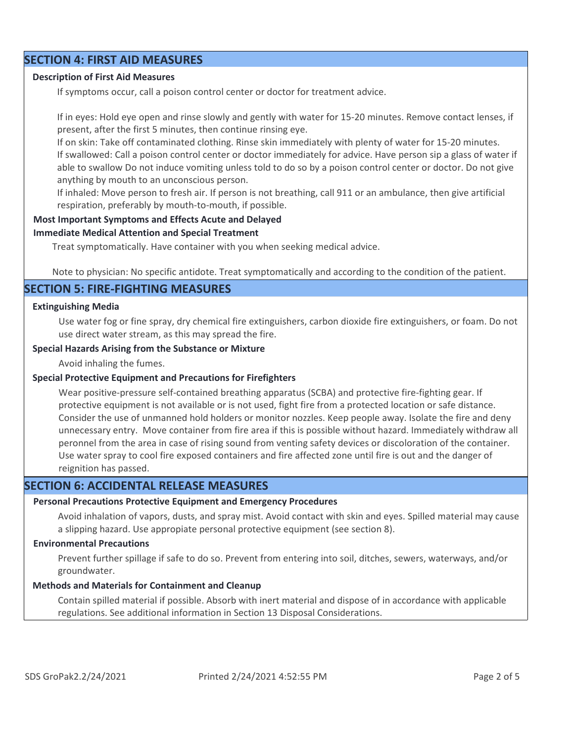## **SECTION 4: FIRST AID MEASURES**

#### **Description of First Aid Measures**

If symptoms occur, call a poison control center or doctor for treatment advice.

If in eyes: Hold eye open and rinse slowly and gently with water for 15-20 minutes. Remove contact lenses, if present, after the first 5 minutes, then continue rinsing eye.

If on skin: Take off contaminated clothing. Rinse skin immediately with plenty of water for 15-20 minutes. If swallowed: Call a poison control center or doctor immediately for advice. Have person sip a glass of water if able to swallow Do not induce vomiting unless told to do so by a poison control center or doctor. Do not give anything by mouth to an unconscious person.

If inhaled: Move person to fresh air. If person is not breathing, call 911 or an ambulance, then give artificial respiration, preferably by mouth-to-mouth, if possible.

#### **Most Important Symptoms and Effects Acute and Delayed**

#### **Immediate Medical Attention and Special Treatment**

Treat symptomatically. Have container with you when seeking medical advice.

Note to physician: No specific antidote. Treat symptomatically and according to the condition of the patient.

#### **SECTION 5: FIRE-FIGHTING MEASURES**

#### **Extinguishing Media**

Use water fog or fine spray, dry chemical fire extinguishers, carbon dioxide fire extinguishers, or foam. Do not use direct water stream, as this may spread the fire.

#### **Special Hazards Arising from the Substance or Mixture**

Avoid inhaling the fumes.

#### **Special Protective Equipment and Precautions for Firefighters**

Wear positive-pressure self-contained breathing apparatus (SCBA) and protective fire-fighting gear. If protective equipment is not available or is not used, fight fire from a protected location or safe distance. Consider the use of unmanned hold holders or monitor nozzles. Keep people away. Isolate the fire and deny unnecessary entry. Move container from fire area if this is possible without hazard. Immediately withdraw all peronnel from the area in case of rising sound from venting safety devices or discoloration of the container. Use water spray to cool fire exposed containers and fire affected zone until fire is out and the danger of reignition has passed.

## **SECTION 6: ACCIDENTAL RELEASE MEASURES**

#### **Personal Precautions Protective Equipment and Emergency Procedures**

Avoid inhalation of vapors, dusts, and spray mist. Avoid contact with skin and eyes. Spilled material may cause a slipping hazard. Use appropiate personal protective equipment (see section 8).

#### **Environmental Precautions**

Prevent further spillage if safe to do so. Prevent from entering into soil, ditches, sewers, waterways, and/or groundwater.

#### **Methods and Materials for Containment and Cleanup**

Contain spilled material if possible. Absorb with inert material and dispose of in accordance with applicable regulations. See additional information in Section 13 Disposal Considerations.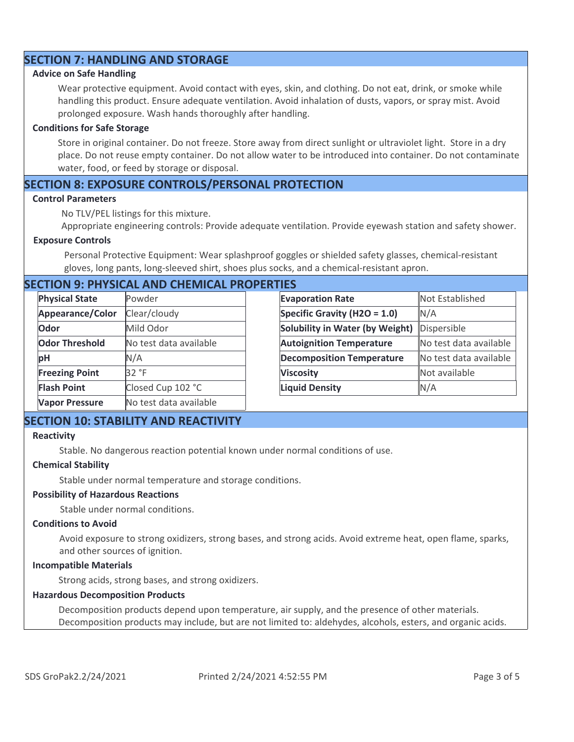## **SECTION 7: HANDLING AND STORAGE**

#### **Advice on Safe Handling**

Wear protective equipment. Avoid contact with eyes, skin, and clothing. Do not eat, drink, or smoke while handling this product. Ensure adequate ventilation. Avoid inhalation of dusts, vapors, or spray mist. Avoid prolonged exposure. Wash hands thoroughly after handling.

#### **Conditions for Safe Storage**

Store in original container. Do not freeze. Store away from direct sunlight or ultraviolet light. Store in a dry place. Do not reuse empty container. Do not allow water to be introduced into container. Do not contaminate water, food, or feed by storage or disposal.

## **SECTION 8: EXPOSURE CONTROLS/PERSONAL PROTECTION**

#### **Control Parameters**

No TLV/PEL listings for this mixture.

Appropriate engineering controls: Provide adequate ventilation. Provide eyewash station and safety shower.

#### **Exposure Controls**

Personal Protective Equipment: Wear splashproof goggles or shielded safety glasses, chemical-resistant gloves, long pants, long-sleeved shirt, shoes plus socks, and a chemical-resistant apron.

## **SECTION 9: PHYSICAL AND CHEMICAL PROPERTIES**

| <b>Physical State</b> | Powder                 | <b>Evaporation Rate</b>          | Not Established        |
|-----------------------|------------------------|----------------------------------|------------------------|
| Appearance/Color      | Clear/cloudy           | Specific Gravity (H2O = 1.0)     | N/A                    |
| Odor                  | Mild Odor              | Solubility in Water (by Weight)  | Dispersible            |
| <b>Odor Threshold</b> | No test data available | <b>Autoignition Temperature</b>  | No test data available |
| pH                    | N/A                    | <b>Decomposition Temperature</b> | No test data available |
| <b>Freezing Point</b> | 32 °F                  | <b>Viscosity</b>                 | Not available          |
| <b>Flash Point</b>    | Closed Cup 102 °C      | <b>Liquid Density</b>            | N/A                    |
| <b>Vapor Pressure</b> | No test data available |                                  |                        |

## **SECTION 10: STABILITY AND REACTIVITY**

#### **Reactivity**

Stable. No dangerous reaction potential known under normal conditions of use.

#### **Chemical Stability**

Stable under normal temperature and storage conditions.

#### **Possibility of Hazardous Reactions**

Stable under normal conditions.

#### **Conditions to Avoid**

Avoid exposure to strong oxidizers, strong bases, and strong acids. Avoid extreme heat, open flame, sparks, and other sources of ignition.

#### **Incompatible Materials**

Strong acids, strong bases, and strong oxidizers.

#### **Hazardous Decomposition Products**

Decomposition products depend upon temperature, air supply, and the presence of other materials. Decomposition products may include, but are not limited to: aldehydes, alcohols, esters, and organic acids.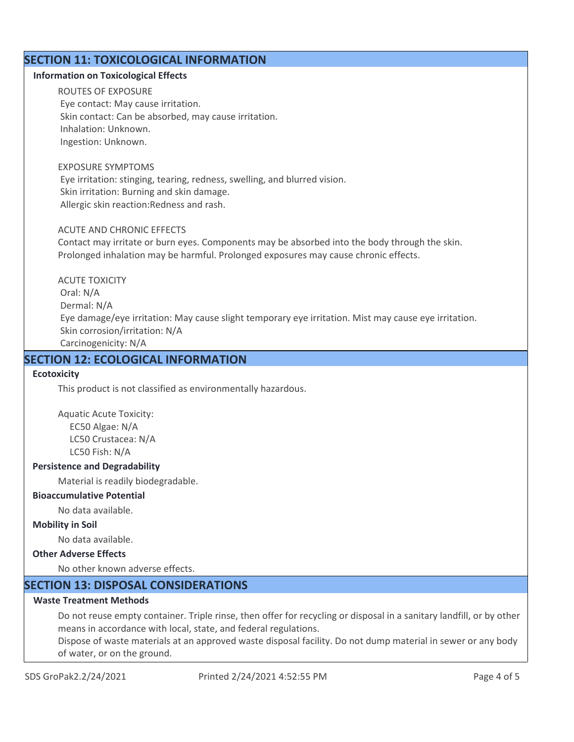## **SECTION 11: TOXICOLOGICAL INFORMATION**

#### **Information on Toxicological Effects**

ROUTES OF EXPOSURE Eye contact: May cause irritation. Skin contact: Can be absorbed, may cause irritation. Inhalation: Unknown. Ingestion: Unknown.

#### EXPOSURE SYMPTOMS

 Eye irritation: stinging, tearing, redness, swelling, and blurred vision. Skin irritation: Burning and skin damage. Allergic skin reaction:Redness and rash.

#### ACUTE AND CHRONIC EFFECTS

Contact may irritate or burn eyes. Components may be absorbed into the body through the skin. Prolonged inhalation may be harmful. Prolonged exposures may cause chronic effects.

ACUTE TOXICITY Oral: N/A Dermal: N/A Eye damage/eye irritation: May cause slight temporary eye irritation. Mist may cause eye irritation. Skin corrosion/irritation: N/A Carcinogenicity: N/A

## **SECTION 12: ECOLOGICAL INFORMATION**

#### **Ecotoxicity**

This product is not classified as environmentally hazardous.

Aquatic Acute Toxicity: EC50 Algae: N/A LC50 Crustacea: N/A LC50 Fish: N/A

#### **Persistence and Degradability**

Material is readily biodegradable.

#### **Bioaccumulative Potential**

No data available.

#### **Mobility in Soil**

No data available.

## **Other Adverse Effects**

No other known adverse effects.

## **SECTION 13: DISPOSAL CONSIDERATIONS**

## **Waste Treatment Methods**

Do not reuse empty container. Triple rinse, then offer for recycling or disposal in a sanitary landfill, or by other means in accordance with local, state, and federal regulations.

Dispose of waste materials at an approved waste disposal facility. Do not dump material in sewer or any body of water, or on the ground.